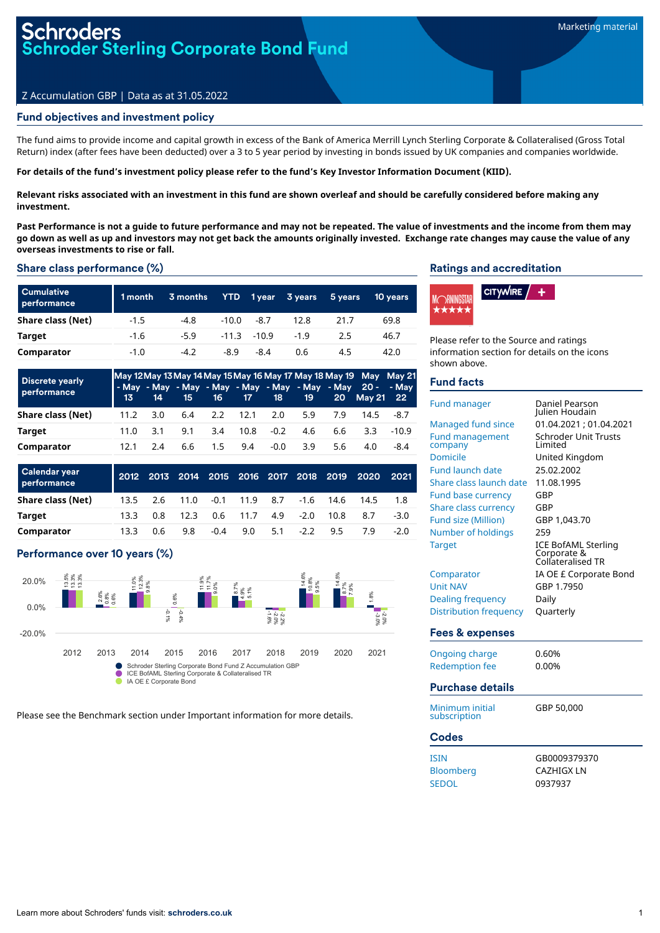#### Z Accumulation GBP | Data as at 31.05.2022

#### Fund objectives and investment policy

The fund aims to provide income and capital growth in excess of the Bank of America Merrill Lynch Sterling Corporate & Collateralised (Gross Total Return) index (after fees have been deducted) over a 3 to 5 year period by investing in bonds issued by UK companies and companies worldwide.

For details of the fund's investment policy please refer to the fund's Key Investor Information Document (KIID).

Relevant risks associated with an investment in this fund are shown overleaf and should be carefully considered before making any **investment.**

Past Performance is not a quide to future performance and may not be repeated. The value of investments and the income from them may go down as well as up and investors may not get back the amounts originally invested. Exchange rate changes may cause the value of any **overseas investments to rise or fall.**

#### Share class performance (%)

| <b>Cumulative</b><br>performance | 1 month | 3 months | <b>YTD</b> | 1 year         | 3 years | 5 years | 10 years |
|----------------------------------|---------|----------|------------|----------------|---------|---------|----------|
| Share class (Net)                | $-1.5$  | $-4.8$   | -10.0      | -8.7           | 12.8    | 21.7    | 69.8     |
| Target                           | $-1.6$  | $-5.9$   |            | $-11.3 - 10.9$ | $-19$   | 2.5     | 46.7     |
| Comparator                       | $-1.0$  | $-4.2$   | -8.9       | -8.4           | 0.6     | 4.5     | 42.0     |

| <b>Discrete yearly</b><br>performance | May 12 May 13 May 14 May 15 May 16 May 17 May 18 May 19 May May 21<br>$-13$ | 14  | 15  |     |      | 16 17 18 | <b>197</b> |     | - May - May - May - May - May - May - May - May 20 - - May<br>20 May 21 22 |         |
|---------------------------------------|-----------------------------------------------------------------------------|-----|-----|-----|------|----------|------------|-----|----------------------------------------------------------------------------|---------|
| Share class (Net)                     | 11.2                                                                        | 3.0 | 6.4 | 2.2 |      | 12.1 2.0 | 5.9        | 7.9 | 14.5                                                                       | -8.7    |
| Target                                | 11.0                                                                        | 3.1 | 9.1 | 3.4 | 10.8 | $-0.2$   | 4.6        | 6.6 | 3.3                                                                        | $-10.9$ |
| Comparator                            | 12.1                                                                        | 2.4 | 6.6 | 1.5 | 9.4  | -0.0     | 3.9        | 5.6 | 4.0                                                                        | -8.4    |

| Calendar year<br>performance |      |     |      |        |                               |     |        | 2012 2013 2014 2015 2016 2017 2018 2019 | 2020 | 2021   |
|------------------------------|------|-----|------|--------|-------------------------------|-----|--------|-----------------------------------------|------|--------|
| Share class (Net)            | 13.5 | 2.6 |      |        | $11.0 \t -0.1 \t 11.9 \t 8.7$ |     |        | $-1.6$ 14.6                             | 14.5 | 1.8    |
| Target                       | 13.3 | 0.8 | 12.3 |        | $0.6$ 11.7                    | 4.9 | $-2.0$ | 10.8                                    | 8.7  | $-3.0$ |
| Comparator                   | 13.3 | 0.6 | 9.8  | $-0.4$ | 9.0                           | 5.1 | $-22$  | 95                                      | 79   | -20    |

#### Performance over 10 years (%)



Please see the Benchmark section under Important information for more details.

#### Ratings and accreditation



Please refer to the Source and ratings information section for details on the icons shown above.

#### Fund facts

| <b>Fund manager</b>               | Daniel Pearson<br>Iulien Houdain                               |
|-----------------------------------|----------------------------------------------------------------|
| Managed fund since                | 01.04.2021 ; 01.04.2021                                        |
| <b>Fund management</b><br>company | <b>Schroder Unit Trusts</b><br>I imited                        |
| <b>Domicile</b>                   | United Kingdom                                                 |
| <b>Fund launch date</b>           | 25.02.2002                                                     |
| Share class launch date           | 11.08.1995                                                     |
| <b>Fund base currency</b>         | GBP                                                            |
| <b>Share class currency</b>       | GBP                                                            |
| <b>Fund size (Million)</b>        | GBP 1,043.70                                                   |
| Number of holdings                | 259                                                            |
| <b>Target</b>                     | <b>ICE BofAML Sterling</b><br>Corporate &<br>Collateralised TR |
| Comparator                        | IA OE £ Corporate Bond                                         |
| <b>Unit NAV</b>                   | GBP 1.7950                                                     |
| Dealing frequency                 | Daily                                                          |
| <b>Distribution frequency</b>     | Quarterly                                                      |
| Fees & expenses                   |                                                                |
| Ongoing charge                    | 0.60%                                                          |
| <b>Redemption fee</b>             | 0.00%                                                          |
| <b>Purchase details</b>           |                                                                |
| Minimum initial<br>subscription   | GBP 50,000                                                     |
| Codoc                             |                                                                |

| GB0009379370 |            |
|--------------|------------|
|              |            |
|              |            |
| 0937937      |            |
|              | CAZHIGX LN |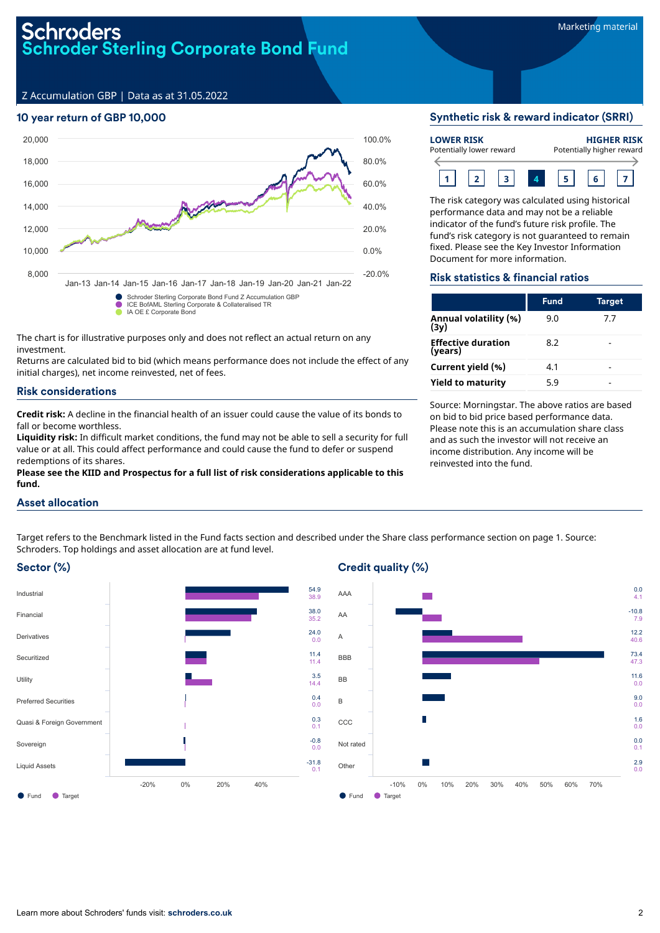# Schroders **Schroder Sterling Corporate Bond Fund**

Z Accumulation GBP | Data as at 31.05.2022

# 10 year return of GBP 10,000



The chart is for illustrative purposes only and does not reflect an actual return on any investment.

Returns are calculated bid to bid (which means performance does not include the effect of any initial charges), net income reinvested, net of fees.

#### Risk considerations

**Credit risk:** A decline in the financial health of an issuer could cause the value of its bonds to fall or become worthless.

**Liquidity risk:** In difficult market conditions, the fund may not be able to sell a security for full value or at all. This could affect performance and could cause the fund to defer or suspend redemptions of its shares.

**Please see the KIID and Prospectus for a full list of risk considerations applicable to this fund.**

# Synthetic risk & reward indicator (SRRI)

| <b>LOWER RISK</b><br>Potentially lower reward |  |  |  |  | <b>HIGHER RISK</b><br>Potentially higher reward |
|-----------------------------------------------|--|--|--|--|-------------------------------------------------|
|                                               |  |  |  |  |                                                 |

The risk category was calculated using historical performance data and may not be a reliable indicator of the fund's future risk profile. The fund's risk category is not guaranteed to remain fixed. Please see the Key Investor Information Document for more information.

#### Risk statistics & financial ratios

|                                      | <b>Fund</b> | <b>Target</b> |
|--------------------------------------|-------------|---------------|
| Annual volatility (%)<br>(3y)        | 9.0         | 7.7           |
| <b>Effective duration</b><br>(years) | 8.2         |               |
| Current yield (%)                    | 4.1         |               |
| <b>Yield to maturity</b>             | 5.9         |               |

Source: Morningstar. The above ratios are based on bid to bid price based performance data. Please note this is an accumulation share class and as such the investor will not receive an income distribution. Any income will be reinvested into the fund.

## Asset allocation

Target refers to the Benchmark listed in the Fund facts section and described under the Share class performance section on page 1. Source: Schroders. Top holdings and asset allocation are at fund level.

# Sector (%)



# Credit quality (%)

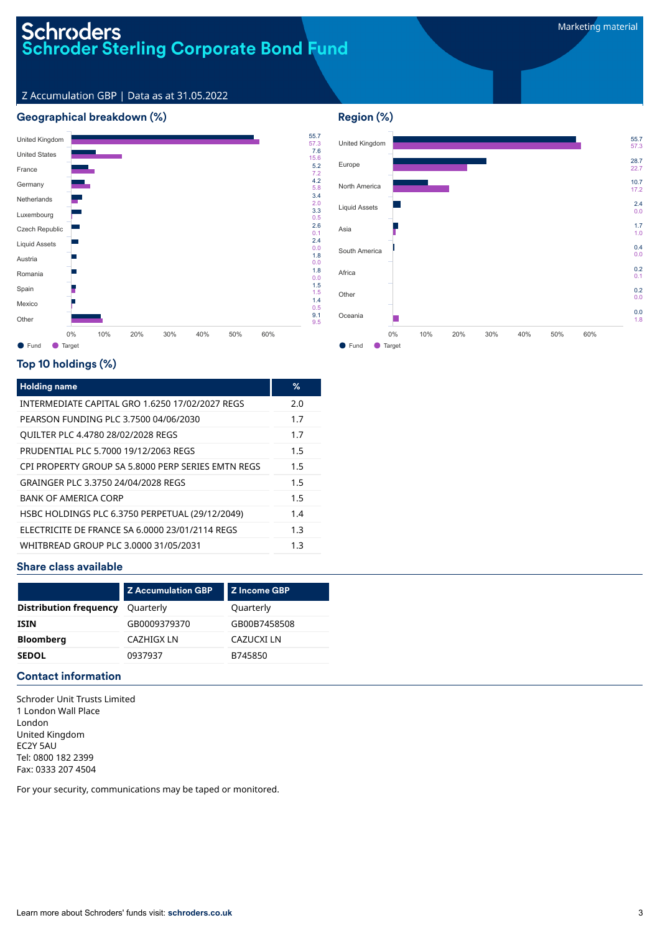#### Marketing material

# Schroders<br>Schroder Sterling Corporate Bond Fund

Z Accumulation GBP | Data as at 31.05.2022

# Geographical breakdown (%)





# Top 10 holdings (%)

| <b>Holding name</b>                                | %   |
|----------------------------------------------------|-----|
| INTERMEDIATE CAPITAL GRO 1.6250 17/02/2027 REGS    | 2.0 |
| PEARSON FUNDING PLC 3.7500 04/06/2030              | 1.7 |
| <b>QUILTER PLC 4.4780 28/02/2028 REGS</b>          | 1.7 |
| PRUDENTIAL PLC 5.7000 19/12/2063 REGS              | 1.5 |
| CPI PROPERTY GROUP SA 5,8000 PERP SERIES EMTN REGS | 1.5 |
| GRAINGER PLC 3.3750 24/04/2028 REGS                | 1.5 |
| <b>BANK OF AMERICA CORP</b>                        | 1.5 |
| HSBC HOLDINGS PLC 6.3750 PERPETUAL (29/12/2049)    | 1.4 |
| ELECTRICITE DE FRANCE SA 6.0000 23/01/2114 REGS    | 1.3 |
| WHITBREAD GROUP PLC 3.0000 31/05/2031              | 1.3 |

# Share class available

| <b>Z</b> Accumulation GBP | Z Income GBP |
|---------------------------|--------------|
| Quarterly                 | Quarterly    |
| GB0009379370              | GB00B7458508 |
| CAZHIGX LN                | CAZUCXI LN   |
| 0937937                   | B745850      |
|                           |              |

## Contact information

Schroder Unit Trusts Limited 1 London Wall Place London United Kingdom EC2Y 5AU Tel: 0800 182 2399 Fax: 0333 207 4504

For your security, communications may be taped or monitored.